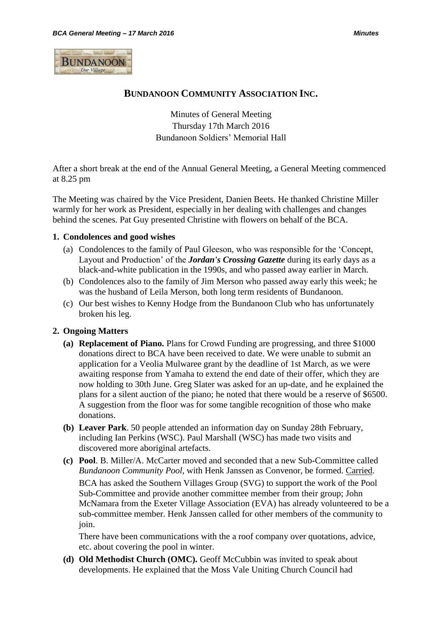

## **BUNDANOON COMMUNITY ASSOCIATION INC.**

Minutes of General Meeting Thursday 17th March 2016 Bundanoon Soldiers' Memorial Hall

After a short break at the end of the Annual General Meeting, a General Meeting commenced at 8.25 pm

The Meeting was chaired by the Vice President, Danien Beets. He thanked Christine Miller warmly for her work as President, especially in her dealing with challenges and changes behind the scenes. Pat Guy presented Christine with flowers on behalf of the BCA.

#### **1. Condolences and good wishes**

- (a) Condolences to the family of Paul Gleeson, who was responsible for the 'Concept, Layout and Production' of the *Jordan's Crossing Gazette* during its early days as a black-and-white publication in the 1990s, and who passed away earlier in March.
- (b) Condolences also to the family of Jim Merson who passed away early this week; he was the husband of Leila Merson, both long term residents of Bundanoon.
- (c) Our best wishes to Kenny Hodge from the Bundanoon Club who has unfortunately broken his leg.

### **2. Ongoing Matters**

- **(a) Replacement of Piano.** Plans for Crowd Funding are progressing, and three \$1000 donations direct to BCA have been received to date. We were unable to submit an application for a Veolia Mulwaree grant by the deadline of 1st March, as we were awaiting response from Yamaha to extend the end date of their offer, which they are now holding to 30th June. Greg Slater was asked for an up-date, and he explained the plans for a silent auction of the piano; he noted that there would be a reserve of \$6500. A suggestion from the floor was for some tangible recognition of those who make donations.
- **(b) Leaver Park**. 50 people attended an information day on Sunday 28th February, including Ian Perkins (WSC). Paul Marshall (WSC) has made two visits and discovered more aboriginal artefacts.
- **(c) Pool**. B. Miller/A. McCarter moved and seconded that a new Sub-Committee called *Bundanoon Community Pool*, with Henk Janssen as Convenor, be formed. Carried. BCA has asked the Southern Villages Group (SVG) to support the work of the Pool Sub-Committee and provide another committee member from their group; John McNamara from the Exeter Village Association (EVA) has already volunteered to be a sub-committee member. Henk Janssen called for other members of the community to join.

There have been communications with the a roof company over quotations, advice, etc. about covering the pool in winter.

**(d) Old Methodist Church (OMC).** Geoff McCubbin was invited to speak about developments. He explained that the Moss Vale Uniting Church Council had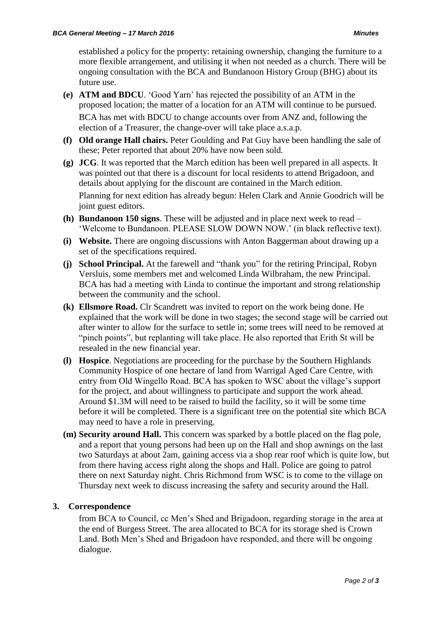established a policy for the property: retaining ownership, changing the furniture to a more flexible arrangement, and utilising it when not needed as a church. There will be ongoing consultation with the BCA and Bundanoon History Group (BHG) about its future use.

- **(e) ATM and BDCU**. 'Good Yarn' has rejected the possibility of an ATM in the proposed location; the matter of a location for an ATM will continue to be pursued. BCA has met with BDCU to change accounts over from ANZ and, following the election of a Treasurer, the change-over will take place a.s.a.p.
- **(f) Old orange Hall chairs.** Peter Goulding and Pat Guy have been handling the sale of these; Peter reported that about 20% have now been sold.
- **(g) JCG**. It was reported that the March edition has been well prepared in all aspects. It was pointed out that there is a discount for local residents to attend Brigadoon, and details about applying for the discount are contained in the March edition.

Planning for next edition has already begun: Helen Clark and Annie Goodrich will be joint guest editors.

- **(h) Bundanoon 150 signs**. These will be adjusted and in place next week to read 'Welcome to Bundanoon. PLEASE SLOW DOWN NOW.' (in black reflective text).
- **(i) Website.** There are ongoing discussions with Anton Baggerman about drawing up a set of the specifications required.
- **(j) School Principal.** At the farewell and "thank you" for the retiring Principal, Robyn Versluis, some members met and welcomed Linda Wilbraham, the new Principal. BCA has had a meeting with Linda to continue the important and strong relationship between the community and the school.
- **(k) Ellsmore Road.** Clr Scandrett was invited to report on the work being done. He explained that the work will be done in two stages; the second stage will be carried out after winter to allow for the surface to settle in; some trees will need to be removed at "pinch points", but replanting will take place. He also reported that Erith St will be resealed in the new financial year.
- **(l) Hospice**. Negotiations are proceeding for the purchase by the Southern Highlands Community Hospice of one hectare of land from Warrigal Aged Care Centre, with entry from Old Wingello Road. BCA has spoken to WSC about the village's support for the project, and about willingness to participate and support the work ahead. Around \$1.3M will need to be raised to build the facility, so it will be some time before it will be completed. There is a significant tree on the potential site which BCA may need to have a role in preserving.
- **(m) Security around Hall.** This concern was sparked by a bottle placed on the flag pole, and a report that young persons had been up on the Hall and shop awnings on the last two Saturdays at about 2am, gaining access via a shop rear roof which is quite low, but from there having access right along the shops and Hall. Police are going to patrol there on next Saturday night. Chris Richmond from WSC is to come to the village on Thursday next week to discuss increasing the safety and security around the Hall.

# **3. Correspondence**

from BCA to Council, cc Men's Shed and Brigadoon, regarding storage in the area at the end of Burgess Street. The area allocated to BCA for its storage shed is Crown Land. Both Men's Shed and Brigadoon have responded, and there will be ongoing dialogue.